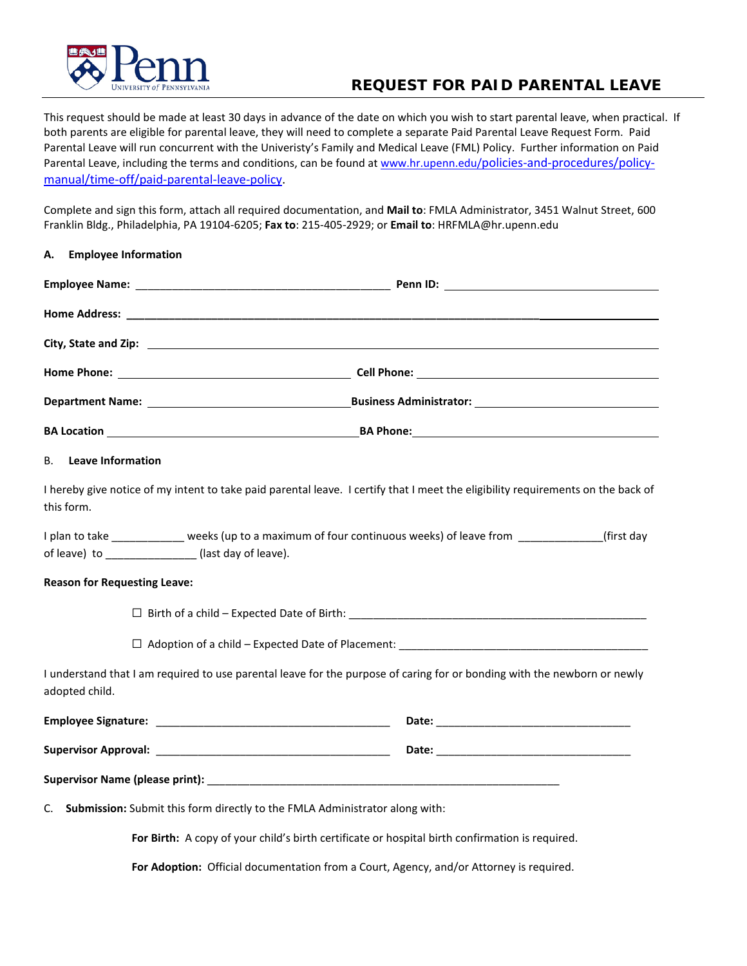

## **REQUEST FOR PAID PARENTAL LEAVE**

This request should be made at least 30 days in advance of the date on which you wish to start parental leave, when practical. If both parents are eligible for parental leave, they will need to complete a separate Paid Parental Leave Request Form. Paid Parental Leave will run concurrent with the Univeristy's Family and Medical Leave (FML) Policy. Further information on Paid Parental Leave, including the terms and conditions, can be found at [www.hr.upenn.edu/policies-and-procedures/policy](http://www.hr.upenn.edu/policies-and-procedures/policy-manual/time-off/paid-parental-leave-policy)[manual/time-off/paid-parental-leave-policy.](http://www.hr.upenn.edu/policies-and-procedures/policy-manual/time-off/paid-parental-leave-policy)

Complete and sign this form, attach all required documentation, and **Mail to**: FMLA Administrator, 3451 Walnut Street, 600 Franklin Bldg., Philadelphia, PA 19104-6205; **Fax to**: 215-405-2929; or **Email to**: HRFMLA@hr.upenn.edu

| A. Employee Information     |                                                                                                                                                                            |
|-----------------------------|----------------------------------------------------------------------------------------------------------------------------------------------------------------------------|
|                             |                                                                                                                                                                            |
|                             |                                                                                                                                                                            |
|                             |                                                                                                                                                                            |
|                             |                                                                                                                                                                            |
|                             |                                                                                                                                                                            |
|                             |                                                                                                                                                                            |
| <b>B.</b> Leave Information |                                                                                                                                                                            |
| this form.                  | I hereby give notice of my intent to take paid parental leave. I certify that I meet the eligibility requirements on the back of                                           |
|                             | I plan to take _____________ weeks (up to a maximum of four continuous weeks) of leave from ______________(first day<br>of leave) to ________________ (last day of leave). |
|                             | <b>Reason for Requesting Leave:</b>                                                                                                                                        |
|                             |                                                                                                                                                                            |
|                             |                                                                                                                                                                            |
| adopted child.              | I understand that I am required to use parental leave for the purpose of caring for or bonding with the newborn or newly                                                   |
|                             |                                                                                                                                                                            |
|                             |                                                                                                                                                                            |
|                             |                                                                                                                                                                            |
|                             | C. Submission: Submit this form directly to the FMLA Administrator along with:                                                                                             |
|                             | For Birth: A copy of your child's birth certificate or hospital birth confirmation is required.                                                                            |

**For Adoption:**Official documentation from a Court, Agency, and/or Attorney is required.